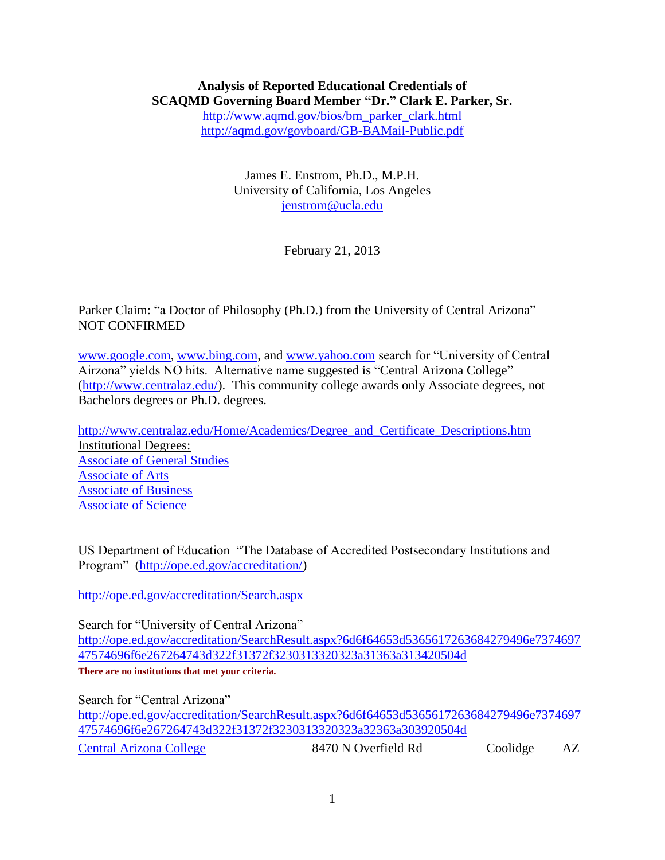#### **Analysis of Reported Educational Credentials of SCAQMD Governing Board Member "Dr." Clark E. Parker, Sr.** [http://www.aqmd.gov/bios/bm\\_parker\\_clark.html](http://www.aqmd.gov/bios/bm_parker_clark.html) <http://aqmd.gov/govboard/GB-BAMail-Public.pdf>

James E. Enstrom, Ph.D., M.P.H.

University of California, Los Angeles [jenstrom@ucla.edu](mailto:jenstrom@ucla.edu)

February 21, 2013

Parker Claim: "a Doctor of Philosophy (Ph.D.) from the University of Central Arizona" NOT CONFIRMED

[www.google.com,](http://www.google.com/) [www.bing.com,](http://www.bing.com/) and [www.yahoo.com](http://www.yahoo.com/) search for "University of Central Airzona" yields NO hits. Alternative name suggested is "Central Arizona College" [\(http://www.centralaz.edu/\)](http://www.centralaz.edu/). This community college awards only Associate degrees, not Bachelors degrees or Ph.D. degrees.

[http://www.centralaz.edu/Home/Academics/Degree\\_and\\_Certificate\\_Descriptions.htm](http://www.centralaz.edu/Home/Academics/Degree_and_Certificate_Descriptions.htm) Institutional Degrees: [Associate of General Studies](http://www.centralaz.edu/Documents/class/Associate%20of%20General%20Studies%20Degree%20-%20Institutional%20Degree.pdf) [Associate of Arts](http://www.centralaz.edu/Home/Academics/Degree_and_Certificate_Descriptions/Associate_of_Arts_degree_description.htm) [Associate of Business](http://www.centralaz.edu/Home/Academics/Degree_and_Certificate_Descriptions/Associate_of_Business_degree_description.htm) [Associate of Science](http://www.centralaz.edu/Home/Academics/Degree_and_Certificate_Descriptions/Associate_of_Science_degree_description.htm)

US Department of Education "The Database of Accredited Postsecondary Institutions and Program" [\(http://ope.ed.gov/accreditation/\)](http://ope.ed.gov/accreditation/)

<http://ope.ed.gov/accreditation/Search.aspx>

Search for "University of Central Arizona" [http://ope.ed.gov/accreditation/SearchResult.aspx?6d6f64653d5365617263684279496e7374697](http://ope.ed.gov/accreditation/SearchResult.aspx?6d6f64653d5365617263684279496e737469747574696f6e267264743d322f31372f3230313320323a31363a313420504d) [47574696f6e267264743d322f31372f3230313320323a31363a313420504d](http://ope.ed.gov/accreditation/SearchResult.aspx?6d6f64653d5365617263684279496e737469747574696f6e267264743d322f31372f3230313320323a31363a313420504d) **There are no institutions that met your criteria.**

Search for "Central Arizona" [http://ope.ed.gov/accreditation/SearchResult.aspx?6d6f64653d5365617263684279496e7374697](http://ope.ed.gov/accreditation/SearchResult.aspx?6d6f64653d5365617263684279496e737469747574696f6e267264743d322f31372f3230313320323a32363a303920504d) [47574696f6e267264743d322f31372f3230313320323a32363a303920504d](http://ope.ed.gov/accreditation/SearchResult.aspx?6d6f64653d5365617263684279496e737469747574696f6e267264743d322f31372f3230313320323a32363a303920504d) [Central Arizona College](http://ope.ed.gov/accreditation/InstAccrDetails.aspx?756e697469643d3130313036342663616d70757349643d30267264743d322f31372f3230313320323a32363a313020504d) 8470 N Overfield Rd Coolidge AZ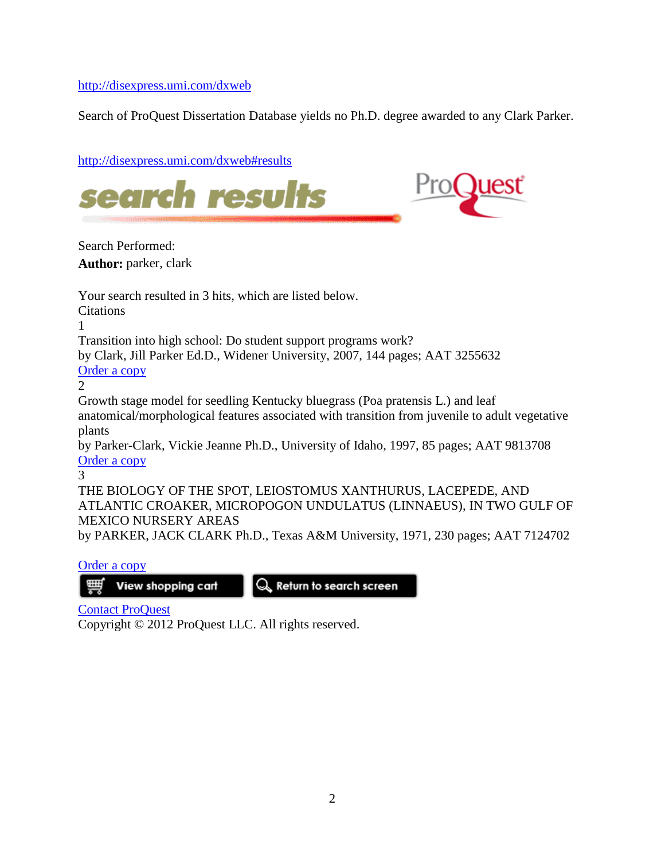<http://disexpress.umi.com/dxweb>

Search of ProQuest Dissertation Database yields no Ph.D. degree awarded to any Clark Parker.

| http://disexpress.umi.com/dxweb#results                                                                                                                                                    |
|--------------------------------------------------------------------------------------------------------------------------------------------------------------------------------------------|
| )uest<br>search results                                                                                                                                                                    |
| Search Performed:                                                                                                                                                                          |
| <b>Author:</b> parker, clark                                                                                                                                                               |
| Your search resulted in 3 hits, which are listed below.<br><b>Citations</b>                                                                                                                |
| Transition into high school: Do student support programs work?<br>by Clark, Jill Parker Ed.D., Widener University, 2007, 144 pages; AAT 3255632<br>Order a copy<br>$\overline{2}$          |
| Growth stage model for seedling Kentucky bluegrass (Poa pratensis L.) and leaf<br>anatomical/morphological features associated with transition from juvenile to adult vegetative<br>plants |
| by Parker-Clark, Vickie Jeanne Ph.D., University of Idaho, 1997, 85 pages; AAT 9813708<br>Order a copy<br>3                                                                                |
| THE BIOLOGY OF THE SPOT, LEIOSTOMUS XANTHURUS, LACEPEDE, AND<br>ATLANTIC CROAKER, MICROPOGON UNDULATUS (LINNAEUS), IN TWO GULF OF<br><b>MEXICO NURSERY AREAS</b>                           |
| by PARKER, JACK CLARK Ph.D., Texas A&M University, 1971, 230 pages; AAT 7124702                                                                                                            |

[Order a copy](https://order.proquest.com/OA_HTML/pqdtibeCCtpItmDspRte.jsp?item=7124702&sitex=10020:22372:US&track=DxWeb&dlnow=1&rpath=http%3A//dissexpress.umi.com/dxweb%3F%26query%3DAU%2528parker%252C%2520clark%2529%26page%3D1)

 $\frac{1}{2}$  View shopping cart

 $\overline{\mathbb{Q}}$  Return to search screen

[Contact ProQuest](http://www.proquest.com/go/orderdissertation)

Copyright © 2012 ProQuest LLC. All rights reserved.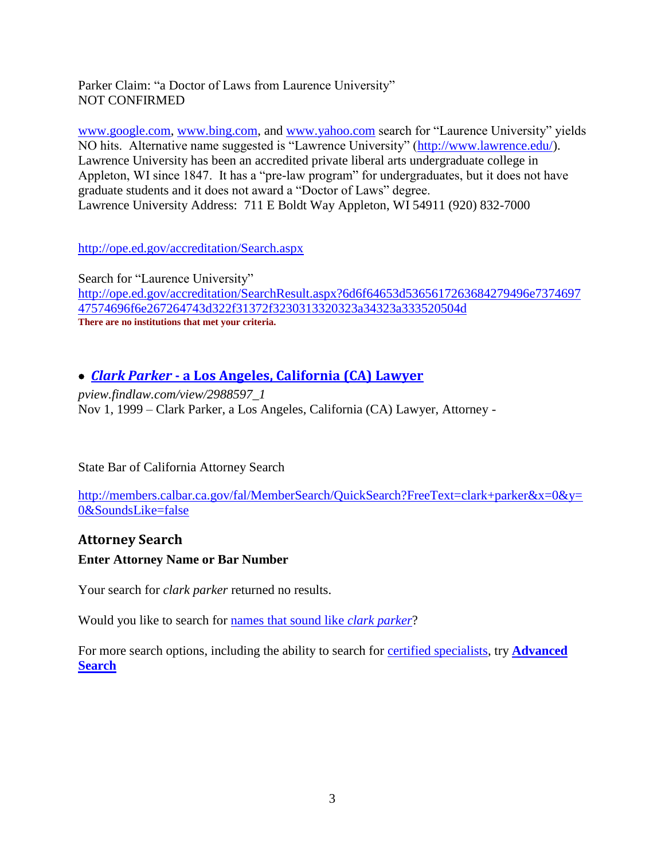Parker Claim: "a Doctor of Laws from Laurence University" NOT CONFIRMED

[www.google.com,](http://www.google.com/) [www.bing.com,](http://www.bing.com/) and [www.yahoo.com](http://www.yahoo.com/) search for "Laurence University" yields NO hits. Alternative name suggested is "Lawrence University" [\(http://www.lawrence.edu/\)](http://www.lawrence.edu/). Lawrence University has been an accredited private liberal arts undergraduate college in Appleton, WI since 1847. It has a "pre-law program" for undergraduates, but it does not have graduate students and it does not award a "Doctor of Laws" degree. Lawrence University Address: 711 E Boldt Way Appleton, WI 54911 (920) 832-7000

<http://ope.ed.gov/accreditation/Search.aspx>

Search for "Laurence University" [http://ope.ed.gov/accreditation/SearchResult.aspx?6d6f64653d5365617263684279496e7374697](http://ope.ed.gov/accreditation/SearchResult.aspx?6d6f64653d5365617263684279496e737469747574696f6e267264743d322f31372f3230313320323a34323a333520504d) [47574696f6e267264743d322f31372f3230313320323a34323a333520504d](http://ope.ed.gov/accreditation/SearchResult.aspx?6d6f64653d5365617263684279496e737469747574696f6e267264743d322f31372f3230313320323a34323a333520504d) **There are no institutions that met your criteria.**

### *Clark Parker* **- [a Los Angeles, California \(CA\) Lawyer](http://pview.findlaw.com/view/2988597_1)**

*pview.findlaw.com/view/2988597\_1*  Nov 1, 1999 – Clark Parker, a Los Angeles, California (CA) Lawyer, Attorney -

#### State Bar of California Attorney Search

[http://members.calbar.ca.gov/fal/MemberSearch/QuickSearch?FreeText=clark+parker&x=0&y=](http://members.calbar.ca.gov/fal/MemberSearch/QuickSearch?FreeText=clark+parker&x=0&y=0&SoundsLike=false) [0&SoundsLike=false](http://members.calbar.ca.gov/fal/MemberSearch/QuickSearch?FreeText=clark+parker&x=0&y=0&SoundsLike=false)

### **Attorney Search Enter Attorney Name or Bar Number**

Your search for *clark parker* returned no results.

Would you like to search for [names that sound like](http://members.calbar.ca.gov/fal/MemberSearch/QuickSearch?FreeText=clark%20parker&SoundsLike=true) *clark parker*?

For more search options, including the ability to search for [certified specialists,](http://members.calbar.ca.gov/fal/MemberSearch/QuickSearch?FreeText=clark+parker&x=0&y=0&SoundsLike=false#legallink) try **[Advanced](http://members.calbar.ca.gov/fal/MemberSearch/QuickSearch?FreeText=clark+parker&x=0&y=0&SoundsLike=false#searchlink)  [Search](http://members.calbar.ca.gov/fal/MemberSearch/QuickSearch?FreeText=clark+parker&x=0&y=0&SoundsLike=false#searchlink)**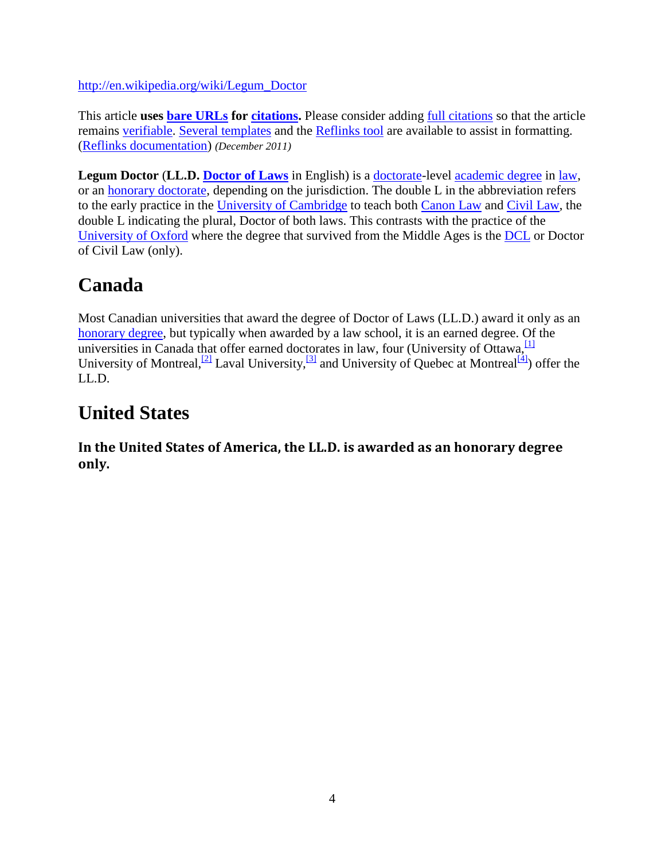[http://en.wikipedia.org/wiki/Legum\\_Doctor](http://en.wikipedia.org/wiki/Legum_Doctor)

This article **uses [bare URLs](http://en.wikipedia.org/wiki/Wikipedia:Bare_URLs) for [citations.](http://en.wikipedia.org/wiki/Wikipedia:Citing_sources)** Please consider adding [full citations](http://en.wikipedia.org/wiki/Wikipedia:Citing_sources#Citation_styles) so that the article remains [verifiable.](http://en.wikipedia.org/wiki/Wikipedia:Verifiability) [Several templates](http://en.wikipedia.org/wiki/Wikipedia:Template_messages/Sources_of_articles#Examples) and the [Reflinks tool](http://toolserver.org/~dispenser/cgi-bin/webreflinks.py?page=Legum_Doctor&citeweb=on&overwrite=simple&limit=200) are available to assist in formatting. [\(Reflinks documentation\)](http://en.wikipedia.org/wiki/Wikipedia:REFLINKS) *(December 2011)*

**Legum Doctor** (**LL.D. [Doctor of Laws](http://en.wikipedia.org/wiki/Doctor_of_Laws)** in English) is a [doctorate-](http://en.wikipedia.org/wiki/Doctorate)level [academic degree](http://en.wikipedia.org/wiki/Academic_degree) in [law,](http://en.wikipedia.org/wiki/Law) or an [honorary doctorate,](http://en.wikipedia.org/wiki/Honorary_doctorate) depending on the jurisdiction. The double L in the abbreviation refers to the early practice in the [University of Cambridge](http://en.wikipedia.org/wiki/University_of_Cambridge) to teach both [Canon Law](http://en.wikipedia.org/wiki/Canon_Law) and [Civil Law,](http://en.wikipedia.org/wiki/Civil_law_%28legal_system%29) the double L indicating the plural, Doctor of both laws. This contrasts with the practice of the [University of Oxford](http://en.wikipedia.org/wiki/University_of_Oxford) where the degree that survived from the Middle Ages is the [DCL](http://en.wikipedia.org/wiki/Doctor_of_Civil_Law) or Doctor of Civil Law (only).

## **Canada**

Most Canadian universities that award the degree of Doctor of Laws (LL.D.) award it only as an [honorary degree,](http://en.wikipedia.org/wiki/Honorary_degree) but typically when awarded by a law school, it is an earned degree. Of the universities in Canada that offer earned doctorates in law, four (University of Ottawa,  $\frac{1}{1}$ University of Montreal, <sup>[\[2\]](http://en.wikipedia.org/wiki/Legum_Doctor#cite_note-2)</sup> Laval University, <sup>[\[3\]](http://en.wikipedia.org/wiki/Legum_Doctor#cite_note-3)</sup> and University of Ouebec at Montreal  $\frac{[4]}{4}$  $\frac{[4]}{4}$  $\frac{[4]}{4}$ ) offer the LL.D.

## **United States**

**In the United States of America, the LL.D. is awarded as an honorary degree only.**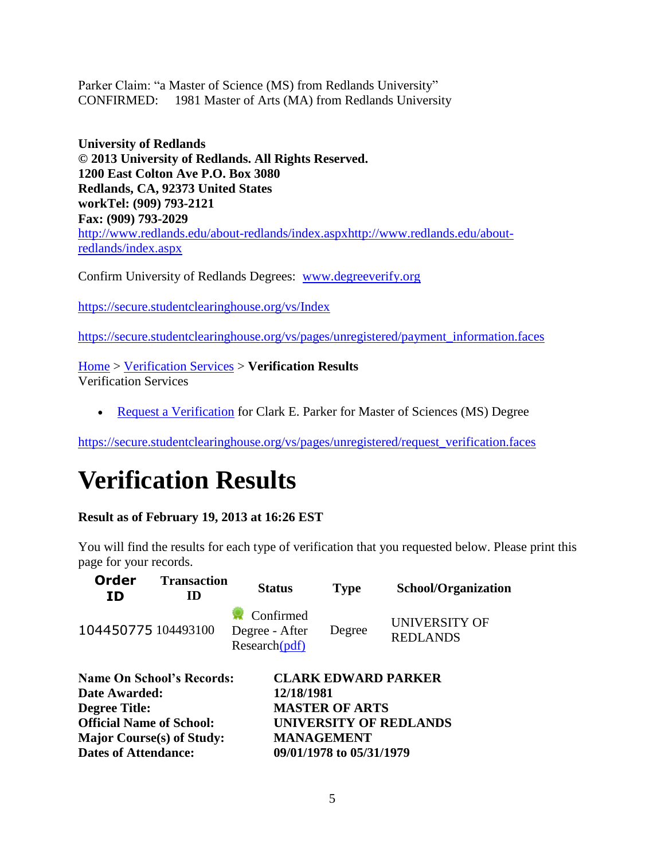Parker Claim: "a Master of Science (MS) from Redlands University" CONFIRMED: 1981 Master of Arts (MA) from Redlands University

**University of Redlands © 2013 University of Redlands. All Rights Reserved. 1200 East Colton Ave P.O. Box 3080 Redlands, CA, 92373 United States workTel: (909) 793-2121 Fax: (909) 793-2029** [http://www.redlands.edu/about-redlands/index.aspxhttp://www.redlands.edu/about](http://www.redlands.edu/about-redlands/index.aspxhttp:/www.redlands.edu/about-redlands/index.aspx)[redlands/index.aspx](http://www.redlands.edu/about-redlands/index.aspxhttp:/www.redlands.edu/about-redlands/index.aspx)

Confirm University of Redlands Degrees: [www.degreeverify.org](http://www.degreeverify.org/)

<https://secure.studentclearinghouse.org/vs/Index>

[https://secure.studentclearinghouse.org/vs/pages/unregistered/payment\\_information.faces](https://secure.studentclearinghouse.org/vs/pages/unregistered/payment_information.faces)

[Home](https://secure.studentclearinghouse.org/vs/pages/unregistered/payment_information.faces) > [Verification Services](https://secure.studentclearinghouse.org/vs/pages/unregistered/payment_information.faces) > **Verification Results** Verification Services

• [Request a Verification](https://secure.studentclearinghouse.org/vs/pages/unregistered/payment_information.faces) for Clark E. Parker for Master of Sciences (MS) Degree

[https://secure.studentclearinghouse.org/vs/pages/unregistered/request\\_verification.faces](https://secure.studentclearinghouse.org/vs/pages/unregistered/request_verification.faces)

# **Verification Results**

#### **Result as of February 19, 2013 at 16:26 EST**

You will find the results for each type of verification that you requested below. Please print this page for your records.

| <b>Order</b><br>ID                | <b>Transaction</b><br>ID | <b>Status</b>                                              | <b>Type</b>                   | <b>School/Organization</b>              |  |
|-----------------------------------|--------------------------|------------------------------------------------------------|-------------------------------|-----------------------------------------|--|
| 104450775 104493100               |                          | Confirmed<br>Degree - After<br>$Research(\underline{pdf})$ | Degree                        | <b>UNIVERSITY OF</b><br><b>REDLANDS</b> |  |
| <b>Name On School's Records:</b>  |                          |                                                            | <b>CLARK EDWARD PARKER</b>    |                                         |  |
| Date Awarded:                     |                          | 12/18/1981                                                 |                               |                                         |  |
| <b>Degree Title:</b>              |                          |                                                            | <b>MASTER OF ARTS</b>         |                                         |  |
| <b>Official Name of School:</b>   |                          |                                                            | <b>UNIVERSITY OF REDLANDS</b> |                                         |  |
| <b>Major Course</b> (s) of Study: |                          | <b>MANAGEMENT</b>                                          |                               |                                         |  |

**Dates of Attendance: 09/01/1978 to 05/31/1979**

5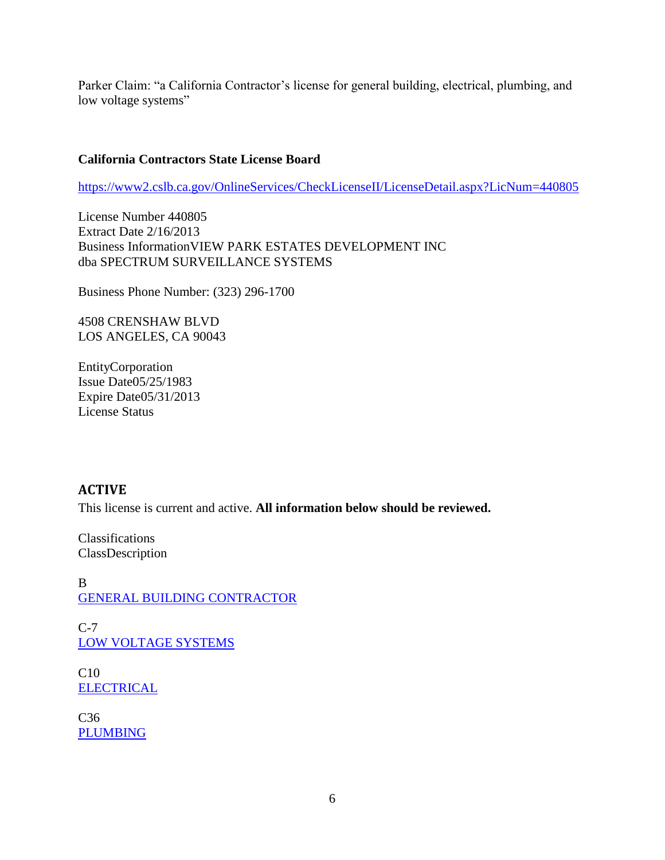Parker Claim: "a California Contractor's license for general building, electrical, plumbing, and low voltage systems"

#### **California Contractors State License Board**

<https://www2.cslb.ca.gov/OnlineServices/CheckLicenseII/LicenseDetail.aspx?LicNum=440805>

License Number 440805 Extract Date 2/16/2013 Business InformationVIEW PARK ESTATES DEVELOPMENT INC dba SPECTRUM SURVEILLANCE SYSTEMS

Business Phone Number: (323) 296-1700

4508 CRENSHAW BLVD LOS ANGELES, CA 90043

EntityCorporation Issue Date05/25/1983 Expire Date05/31/2013 License Status

#### **ACTIVE**

This license is current and active. **All information below should be reviewed.**

Classifications ClassDescription

B [GENERAL BUILDING CONTRACTOR](https://www2.cslb.ca.gov/GeneralInformation/Library/LicensingClassifications/BGENERALBUILDINGCONTRACTOR.ASP)

 $C-7$ [LOW VOLTAGE SYSTEMS](https://www2.cslb.ca.gov/GeneralInformation/Library/LicensingClassifications/C-7LOWVOLTAGESYSTEMS.ASP)

C10 **[ELECTRICAL](https://www2.cslb.ca.gov/GeneralInformation/Library/LicensingClassifications/C10ELECTRICAL.ASP)** 

C36 [PLUMBING](https://www2.cslb.ca.gov/GeneralInformation/Library/LicensingClassifications/C36PLUMBING.ASP)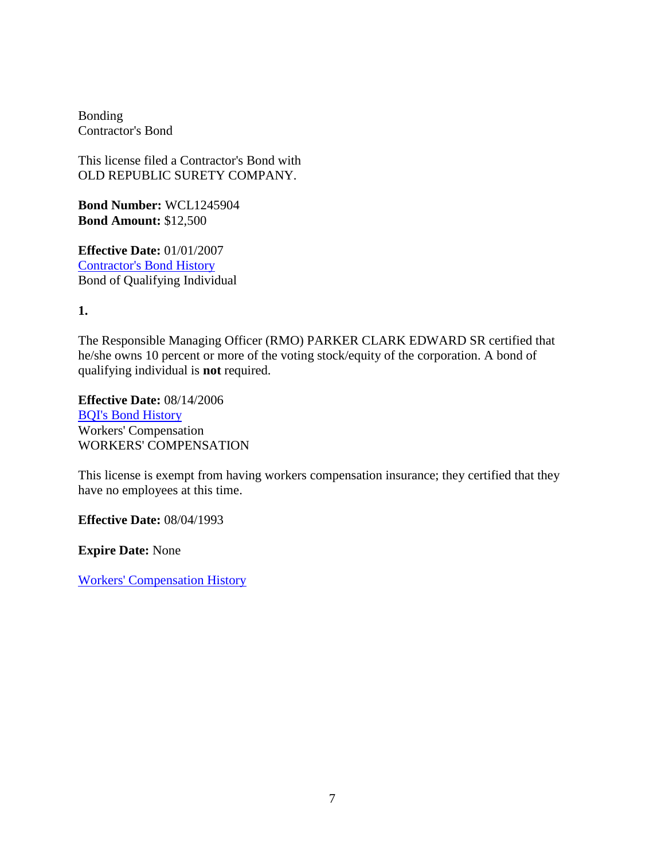Bonding Contractor's Bond

This license filed a Contractor's Bond with OLD REPUBLIC SURETY COMPANY.

**Bond Number:** WCL1245904 **Bond Amount:** \$12,500

**Effective Date:** 01/01/2007 [Contractor's Bond History](https://www2.cslb.ca.gov/OnlineServices/CheckLicenseII/ContractorBondingHistory.aspx?LicNum=440805&BondType=CB) Bond of Qualifying Individual

**1.**

The Responsible Managing Officer (RMO) PARKER CLARK EDWARD SR certified that he/she owns 10 percent or more of the voting stock/equity of the corporation. A bond of qualifying individual is **not** required.

**Effective Date:** 08/14/2006 [BQI's Bond History](https://www2.cslb.ca.gov/OnlineServices/CheckLicenseII/BQIBondingHistory.aspx?Licnum=440805&QualIndv=1) Workers' Compensation WORKERS' COMPENSATION

This license is exempt from having workers compensation insurance; they certified that they have no employees at this time.

**Effective Date:** 08/04/1993

**Expire Date:** None

[Workers' Compensation History](https://www2.cslb.ca.gov/OnlineServices/CheckLicenseII/WCHistory.aspx?LicNum=440805)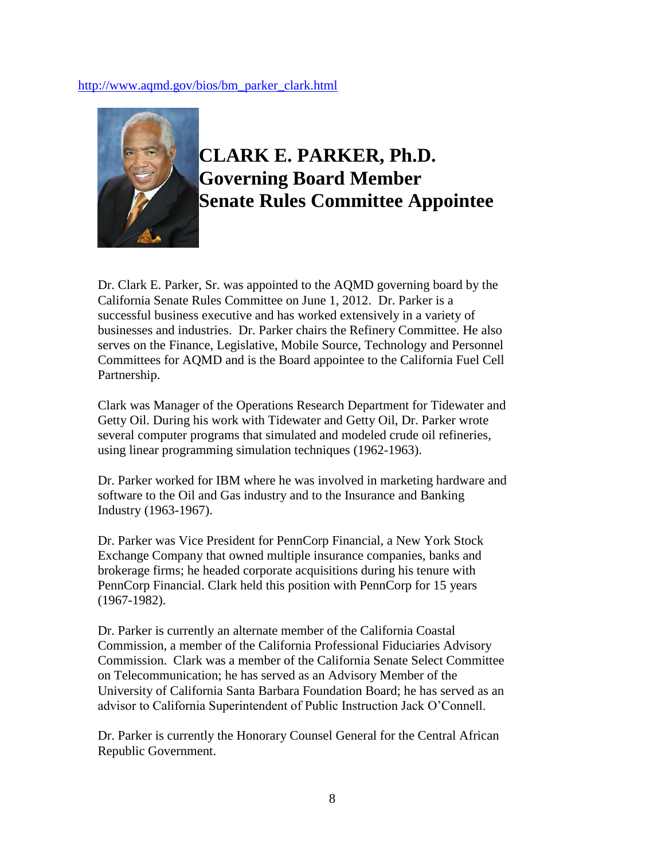#### [http://www.aqmd.gov/bios/bm\\_parker\\_clark.html](http://www.aqmd.gov/bios/bm_parker_clark.html)



## **CLARK E. PARKER, Ph.D. Governing Board Member Senate Rules Committee Appointee**

Dr. Clark E. Parker, Sr. was appointed to the AQMD governing board by the California Senate Rules Committee on June 1, 2012. Dr. Parker is a successful business executive and has worked extensively in a variety of businesses and industries. Dr. Parker chairs the Refinery Committee. He also serves on the Finance, Legislative, Mobile Source, Technology and Personnel Committees for AQMD and is the Board appointee to the California Fuel Cell Partnership.

Clark was Manager of the Operations Research Department for Tidewater and Getty Oil. During his work with Tidewater and Getty Oil, Dr. Parker wrote several computer programs that simulated and modeled crude oil refineries, using linear programming simulation techniques (1962-1963).

Dr. Parker worked for IBM where he was involved in marketing hardware and software to the Oil and Gas industry and to the Insurance and Banking Industry (1963-1967).

Dr. Parker was Vice President for PennCorp Financial, a New York Stock Exchange Company that owned multiple insurance companies, banks and brokerage firms; he headed corporate acquisitions during his tenure with PennCorp Financial. Clark held this position with PennCorp for 15 years (1967-1982).

Dr. Parker is currently an alternate member of the California Coastal Commission, a member of the California Professional Fiduciaries Advisory Commission. Clark was a member of the California Senate Select Committee on Telecommunication; he has served as an Advisory Member of the University of California Santa Barbara Foundation Board; he has served as an advisor to California Superintendent of Public Instruction Jack O'Connell.

Dr. Parker is currently the Honorary Counsel General for the Central African Republic Government.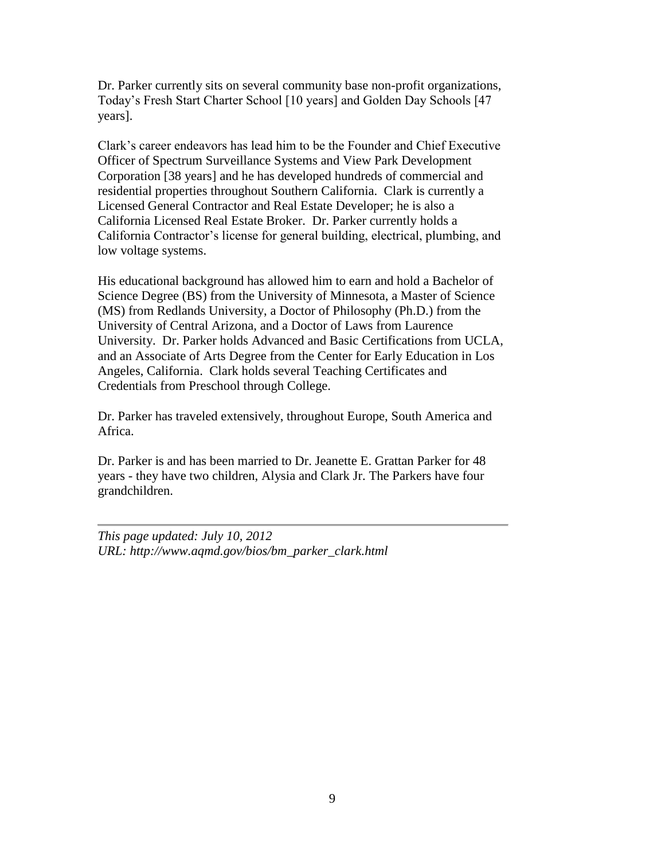Dr. Parker currently sits on several community base non-profit organizations, Today's Fresh Start Charter School [10 years] and Golden Day Schools [47 years].

Clark's career endeavors has lead him to be the Founder and Chief Executive Officer of Spectrum Surveillance Systems and View Park Development Corporation [38 years] and he has developed hundreds of commercial and residential properties throughout Southern California. Clark is currently a Licensed General Contractor and Real Estate Developer; he is also a California Licensed Real Estate Broker. Dr. Parker currently holds a California Contractor's license for general building, electrical, plumbing, and low voltage systems.

His educational background has allowed him to earn and hold a Bachelor of Science Degree (BS) from the University of Minnesota, a Master of Science (MS) from Redlands University, a Doctor of Philosophy (Ph.D.) from the University of Central Arizona, and a Doctor of Laws from Laurence University. Dr. Parker holds Advanced and Basic Certifications from UCLA, and an Associate of Arts Degree from the Center for Early Education in Los Angeles, California. Clark holds several Teaching Certificates and Credentials from Preschool through College.

Dr. Parker has traveled extensively, throughout Europe, South America and Africa.

Dr. Parker is and has been married to Dr. Jeanette E. Grattan Parker for 48 years - they have two children, Alysia and Clark Jr. The Parkers have four grandchildren.

*This page updated: July 10, 2012 URL: http://www.aqmd.gov/bios/bm\_parker\_clark.html*